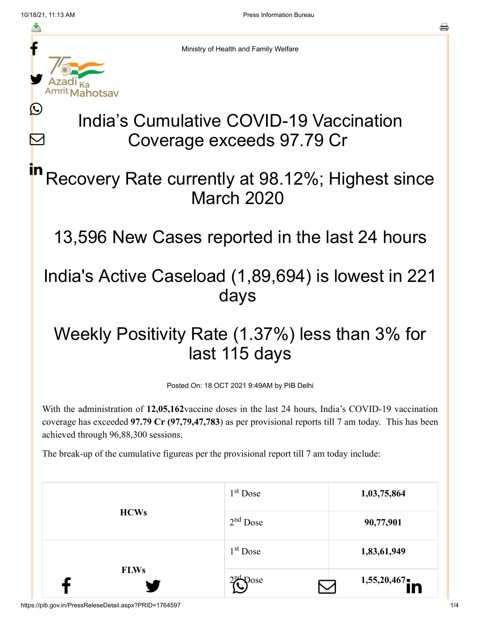$\bm{\nabla}$ 



Ministry of Health and Family Welfare

# India's Cumulative COVID-19 Vaccination Coverage exceeds 97.79 Cr

### Recovery Rate currently at 98.12%; Highest since March 2020 in

13,596 New Cases reported in the last 24 hours

## India's Active Caseload (1,89,694) is lowest in 221 days

# Weekly Positivity Rate (1.37%) less than 3% for last 115 days

Posted On: 18 OCT 2021 9:49AM by PIB Delhi

With the administration of **12,05,162**vaccine doses in the last 24 hours, India's COVID-19 vaccination coverage has exceeded **97.79 Cr (97,79,47,783**) as per provisional reports till 7 am today. This has been achieved through 96,88,300 sessions.

The break-up of the cumulative figureas per the provisional report till 7 am today include:

| <b>FLWs</b> | $2nd$ Dose | 1,55,20,467 |
|-------------|------------|-------------|
|             | $1st$ Dose | 1,83,61,949 |
| <b>HCWs</b> | $2nd$ Dose | 90,77,901   |
|             | $1st$ Dose | 1,03,75,864 |

https://pib.gov.in/PressReleseDetail.aspx?PRID=1764597 1/4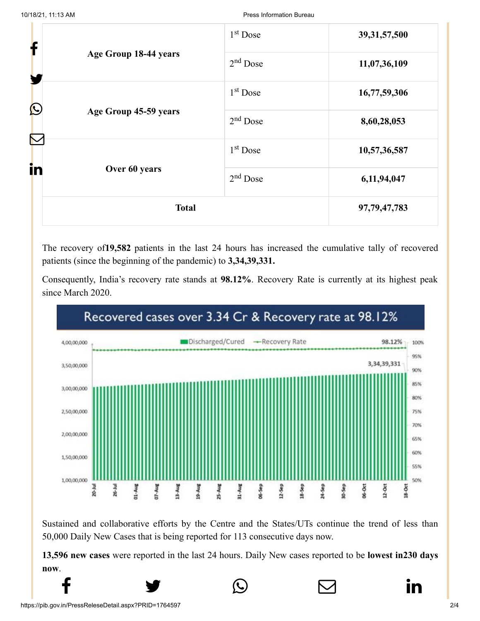| f          |                       | 1 <sup>st</sup> Dose | 39, 31, 57, 500 |
|------------|-----------------------|----------------------|-----------------|
|            | Age Group 18-44 years | $2nd$ Dose           | 11,07,36,109    |
| $\bigcirc$ |                       | $1st$ Dose           | 16,77,59,306    |
|            | Age Group 45-59 years | $2nd$ Dose           | 8,60,28,053     |
|            |                       | $1st$ Dose           | 10,57,36,587    |
| in         | Over 60 years         | $2nd$ Dose           | 6,11,94,047     |
|            | <b>Total</b>          |                      | 97, 79, 47, 783 |

The recovery of**19,582** patients in the last 24 hours has increased the cumulative tally of recovered patients (since the beginning of the pandemic) to **3,34,39,331.**

Consequently, India's recovery rate stands at **98.12%**. Recovery Rate is currently at its highest peak since March 2020.



Sustained and collaborative efforts by the Centre and the States/UTs continue the trend of less than 50,000 Daily New Cases that is being reported for 113 consecutive days now.

**13,596 new cases** were reported in the last 24 hours. Daily New cases reported to be **lowest in230 days now**.

 $f$   $\rightarrow$   $\circ$   $\quad \circ$  in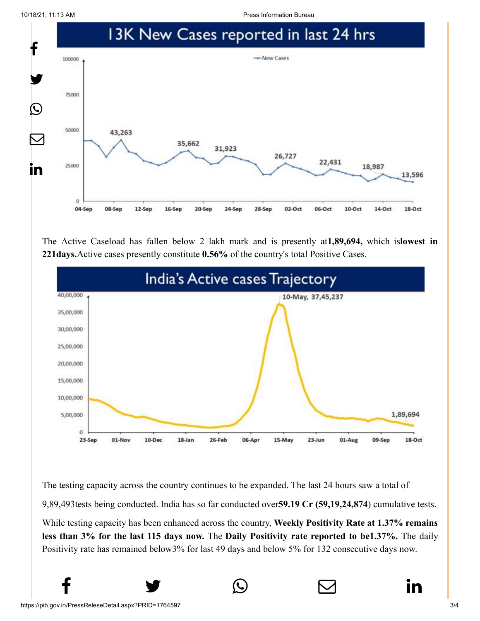10/18/21, 11:13 AM Press Information Bureau



The Active Caseload has fallen below 2 lakh mark and is presently at**1,89,694,** which is**lowest in 221days.**Active cases presently constitute **0.56%** of the country's total Positive Cases.



The testing capacity across the country continues to be expanded. The last 24 hours saw a total of 9,89,493tests being conducted. India has so far conducted over**59.19 Cr (59,19,24,874**) cumulative tests. While testing capacity has been enhanced across the country, **Weekly Positivity Rate at 1.37% remains**

**less than 3% for the last 115 days now.** The **Daily Positivity rate reported to be1.37%.** The daily Positivity rate has remained below3% for last 49 days and below 5% for 132 consecutive days now.

 $f$   $\rightarrow$   $\circ$   $\quad \circ$  in